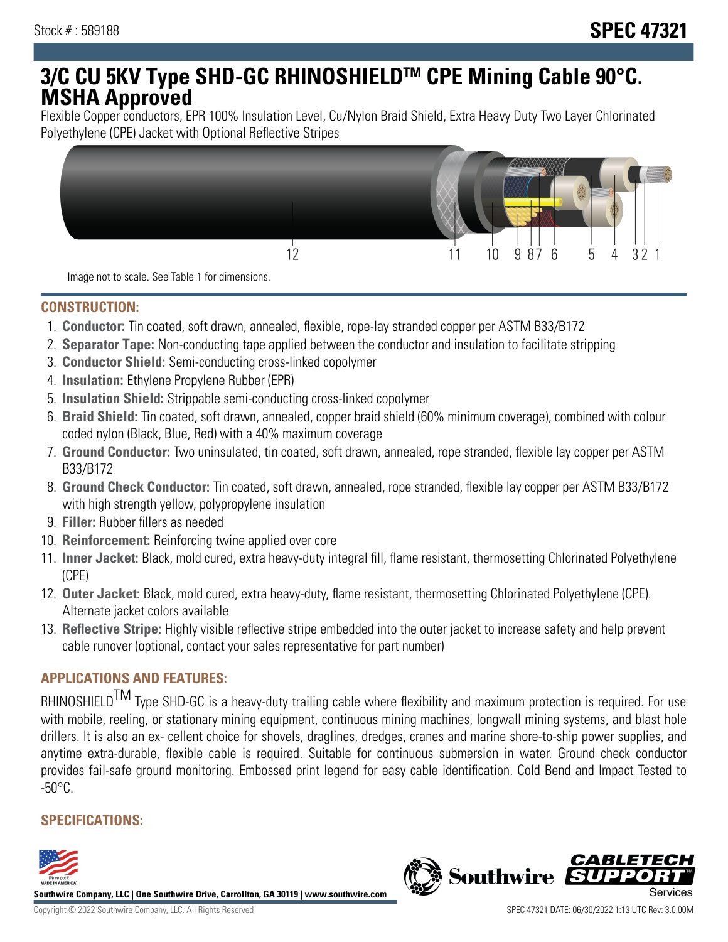# **3/C CU 5KV Type SHD-GC RHINOSHIELDTM CPE Mining Cable 90°C. MSHA Approved**

Flexible Copper conductors, EPR 100% Insulation Level, Cu/Nylon Braid Shield, Extra Heavy Duty Two Layer Chlorinated Polyethylene (CPE) Jacket with Optional Reflective Stripes



Image not to scale. See Table 1 for dimensions.

### **CONSTRUCTION:**

- 1. **Conductor:** Tin coated, soft drawn, annealed, flexible, rope-lay stranded copper per ASTM B33/B172
- 2. **Separator Tape:** Non-conducting tape applied between the conductor and insulation to facilitate stripping
- 3. **Conductor Shield:** Semi-conducting cross-linked copolymer
- 4. **Insulation:** Ethylene Propylene Rubber (EPR)
- 5. **Insulation Shield:** Strippable semi-conducting cross-linked copolymer
- 6. **Braid Shield:** Tin coated, soft drawn, annealed, copper braid shield (60% minimum coverage), combined with colour coded nylon (Black, Blue, Red) with a 40% maximum coverage
- 7. **Ground Conductor:** Two uninsulated, tin coated, soft drawn, annealed, rope stranded, flexible lay copper per ASTM B33/B172
- 8. **Ground Check Conductor:** Tin coated, soft drawn, annealed, rope stranded, flexible lay copper per ASTM B33/B172 with high strength yellow, polypropylene insulation
- 9. **Filler:** Rubber fillers as needed
- 10. **Reinforcement:** Reinforcing twine applied over core
- 11. **Inner Jacket:** Black, mold cured, extra heavy-duty integral fill, flame resistant, thermosetting Chlorinated Polyethylene (CPE)
- 12. **Outer Jacket:** Black, mold cured, extra heavy-duty, flame resistant, thermosetting Chlorinated Polyethylene (CPE). Alternate jacket colors available
- 13. **Reflective Stripe:** Highly visible reflective stripe embedded into the outer jacket to increase safety and help prevent cable runover (optional, contact your sales representative for part number)

# **APPLICATIONS AND FEATURES:**

RHINOSHIELD<sup>TM</sup> Type SHD-GC is a heavy-duty trailing cable where flexibility and maximum protection is required. For use with mobile, reeling, or stationary mining equipment, continuous mining machines, longwall mining systems, and blast hole drillers. It is also an ex- cellent choice for shovels, draglines, dredges, cranes and marine shore-to-ship power supplies, and anytime extra-durable, flexible cable is required. Suitable for continuous submersion in water. Ground check conductor provides fail-safe ground monitoring. Embossed print legend for easy cable identification. Cold Bend and Impact Tested to  $-50^{\circ}$ C.

## **SPECIFICATIONS:**



**Southwire Company, LLC | One Southwire Drive, Carrollton, GA 30119 | www.southwire.com**

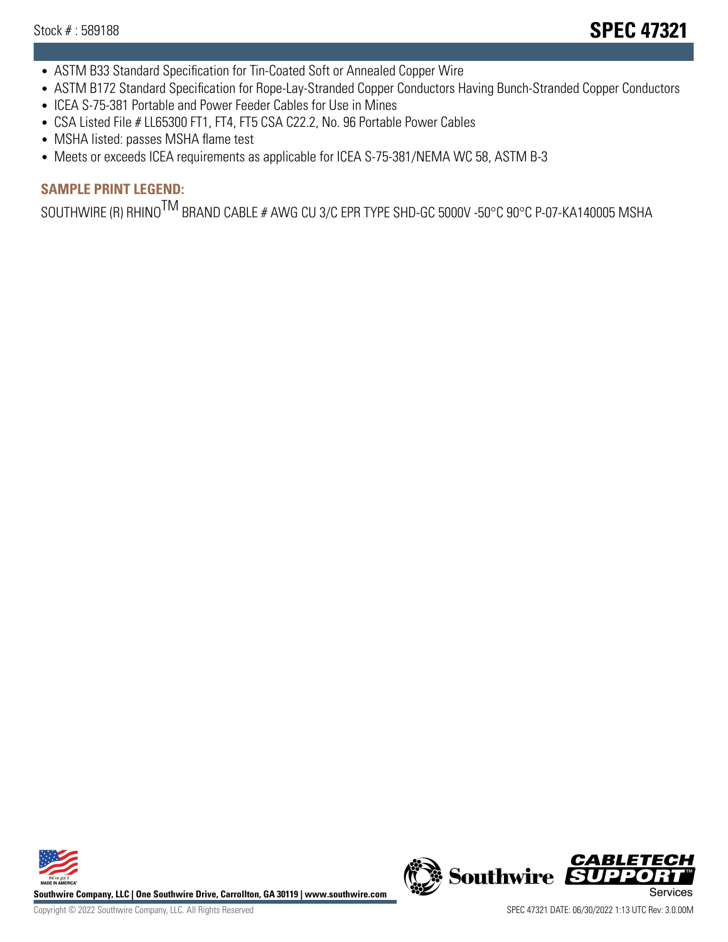- ASTM B33 Standard Specification for Tin-Coated Soft or Annealed Copper Wire
- ASTM B172 Standard Specification for Rope-Lay-Stranded Copper Conductors Having Bunch-Stranded Copper Conductors
- ICEA S-75-381 Portable and Power Feeder Cables for Use in Mines
- CSA Listed File # LL65300 FT1, FT4, FT5 CSA C22.2, No. 96 Portable Power Cables
- MSHA listed: passes MSHA flame test
- Meets or exceeds ICEA requirements as applicable for ICEA S-75-381/NEMA WC 58, ASTM B-3

# **SAMPLE PRINT LEGEND:**

SOUTHWIRE (R) RHINO<sup>TM</sup> BRAND CABLE # AWG CU 3/C EPR TYPE SHD-GC 5000V -50°C 90°C P-07-KA140005 MSHA